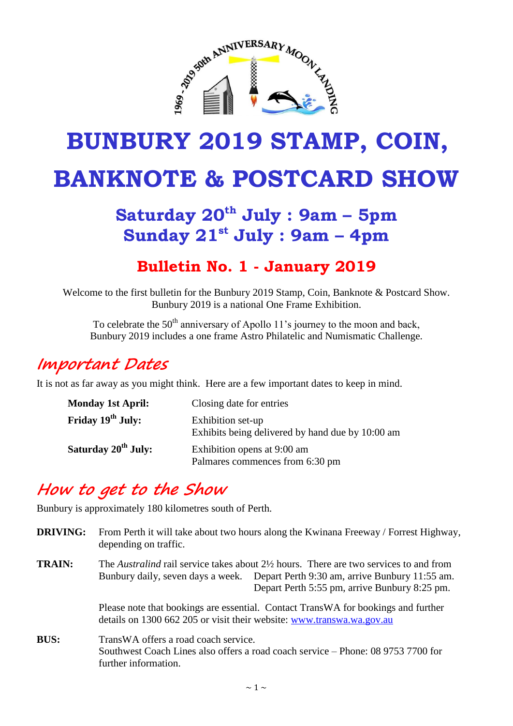

# **BUNBURY 2019 STAMP, COIN, BANKNOTE & POSTCARD SHOW**

# **Saturday 20th July : 9am – 5pm Sunday 21st July : 9am – 4pm**

#### **Bulletin No. 1 - January 2019**

Welcome to the first bulletin for the Bunbury 2019 Stamp, Coin, Banknote & Postcard Show. Bunbury 2019 is a national One Frame Exhibition.

To celebrate the  $50<sup>th</sup>$  anniversary of Apollo 11's journey to the moon and back, Bunbury 2019 includes a one frame Astro Philatelic and Numismatic Challenge.

#### **Important Dates**

It is not as far away as you might think. Here are a few important dates to keep in mind.

| <b>Monday 1st April:</b>        | Closing date for entries                                              |
|---------------------------------|-----------------------------------------------------------------------|
| Friday 19 <sup>th</sup> July:   | Exhibition set-up<br>Exhibits being delivered by hand due by 10:00 am |
| Saturday 20 <sup>th</sup> July: | Exhibition opens at 9:00 am<br>Palmares commences from 6:30 pm        |

#### **How to get to the Show**

Bunbury is approximately 180 kilometres south of Perth.

| <b>DRIVING:</b> | From Perth it will take about two hours along the Kwinana Freeway / Forrest Highway,<br>depending on traffic.                                                                                                                         |
|-----------------|---------------------------------------------------------------------------------------------------------------------------------------------------------------------------------------------------------------------------------------|
| <b>TRAIN:</b>   | The Australind rail service takes about $2\frac{1}{2}$ hours. There are two services to and from<br>Bunbury daily, seven days a week. Depart Perth 9:30 am, arrive Bunbury 11:55 am.<br>Depart Perth 5:55 pm, arrive Bunbury 8:25 pm. |
|                 | Please note that bookings are essential. Contact TransWA for bookings and further<br>details on 1300 662 205 or visit their website: www.transwa.wa.gov.au                                                                            |
| <b>BUS:</b>     | TransWA offers a road coach service.<br>Southwest Coach Lines also offers a road coach service – Phone: 08 9753 7700 for<br>further information.                                                                                      |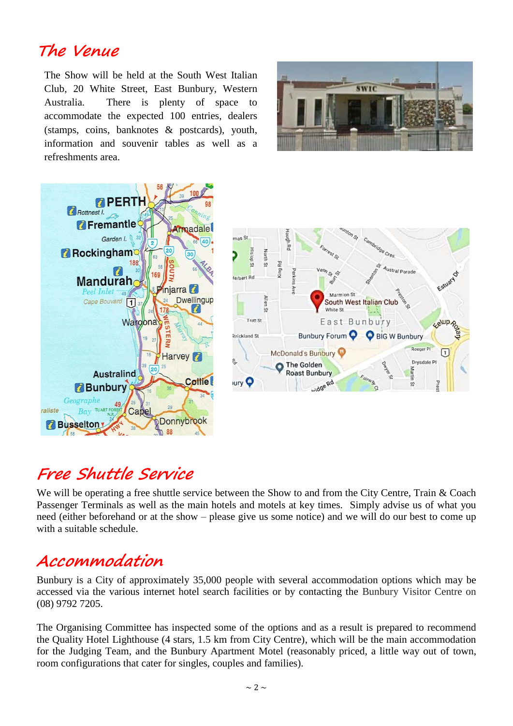#### **The Venue**

The Show will be held at the South West Italian Club, 20 White Street, East Bunbury, Western Australia. There is plenty of space to accommodate the expected 100 entries, dealers (stamps, coins, banknotes & postcards), youth, information and souvenir tables as well as a refreshments area.





# **Free Shuttle Service**

We will be operating a free shuttle service between the Show to and from the City Centre, Train & Coach Passenger Terminals as well as the main hotels and motels at key times. Simply advise us of what you need (either beforehand or at the show – please give us some notice) and we will do our best to come up with a suitable schedule.

#### **Accommodation**

Bunbury is a City of approximately 35,000 people with several accommodation options which may be accessed via the various internet hotel search facilities or by contacting the Bunbury Visitor Centre on (08) 9792 7205.

The Organising Committee has inspected some of the options and as a result is prepared to recommend the Quality Hotel Lighthouse (4 stars, 1.5 km from City Centre), which will be the main accommodation for the Judging Team, and the Bunbury Apartment Motel (reasonably priced, a little way out of town, room configurations that cater for singles, couples and families).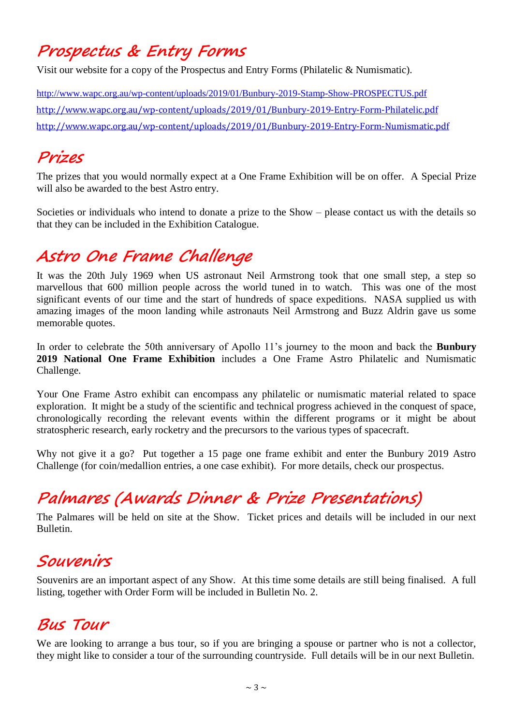### **Prospectus & Entry Forms**

Visit our website for a copy of the Prospectus and Entry Forms (Philatelic & Numismatic).

<http://www.wapc.org.au/wp-content/uploads/2019/01/Bunbury-2019-Stamp-Show-PROSPECTUS.pdf> <http://www.wapc.org.au/wp-content/uploads/2019/01/Bunbury-2019-Entry-Form-Philatelic.pdf> <http://www.wapc.org.au/wp-content/uploads/2019/01/Bunbury-2019-Entry-Form-Numismatic.pdf>

#### **Prizes**

The prizes that you would normally expect at a One Frame Exhibition will be on offer. A Special Prize will also be awarded to the best Astro entry.

Societies or individuals who intend to donate a prize to the Show – please contact us with the details so that they can be included in the Exhibition Catalogue.

## **Astro One Frame Challenge**

It was the 20th July 1969 when US astronaut Neil Armstrong took that one small step, a step so marvellous that 600 million people across the world tuned in to watch. This was one of the most significant events of our time and the start of hundreds of space expeditions. NASA supplied us with amazing images of the moon landing while astronauts Neil Armstrong and Buzz Aldrin gave us some memorable quotes.

In order to celebrate the 50th anniversary of Apollo 11's journey to the moon and back the **Bunbury 2019 National One Frame Exhibition** includes a One Frame Astro Philatelic and Numismatic Challenge.

Your One Frame Astro exhibit can encompass any philatelic or numismatic material related to space exploration. It might be a study of the scientific and technical progress achieved in the conquest of space, chronologically recording the relevant events within the different programs or it might be about stratospheric research, early rocketry and the precursors to the various types of spacecraft.

Why not give it a go? Put together a 15 page one frame exhibit and enter the Bunbury 2019 Astro Challenge (for coin/medallion entries, a one case exhibit). For more details, check our prospectus.

# **Palmares (Awards Dinner & Prize Presentations)**

The Palmares will be held on site at the Show. Ticket prices and details will be included in our next Bulletin.

### **Souvenirs**

Souvenirs are an important aspect of any Show. At this time some details are still being finalised. A full listing, together with Order Form will be included in Bulletin No. 2.

#### **Bus Tour**

We are looking to arrange a bus tour, so if you are bringing a spouse or partner who is not a collector, they might like to consider a tour of the surrounding countryside. Full details will be in our next Bulletin.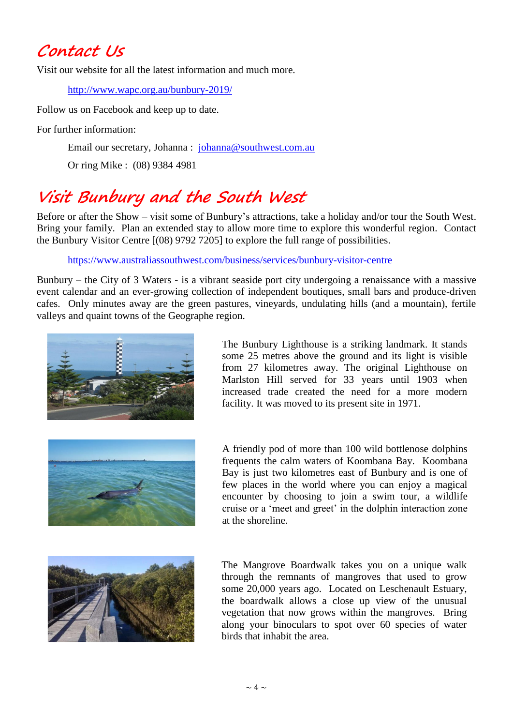#### **Contact Us**

Visit our website for all the latest information and much more.

<http://www.wapc.org.au/bunbury-2019/>

Follow us on Facebook and keep up to date.

For further information:

Email our secretary, Johanna : [johanna@southwest.com.au](mailto:johanna@southwest.com.au)

Or ring Mike : (08) 9384 4981

# **Visit Bunbury and the South West**

Before or after the Show – visit some of Bunbury's attractions, take a holiday and/or tour the South West. Bring your family. Plan an extended stay to allow more time to explore this wonderful region. Contact the Bunbury Visitor Centre [(08) 9792 7205] to explore the full range of possibilities.

<https://www.australiassouthwest.com/business/services/bunbury-visitor-centre>

Bunbury – the City of 3 Waters - is a vibrant seaside port city undergoing a renaissance with a massive event calendar and an ever-growing collection of independent boutiques, small bars and produce-driven cafes. Only minutes away are the green pastures, vineyards, undulating hills (and a mountain), fertile valleys and quaint towns of the Geographe region.



The Bunbury Lighthouse is a striking landmark. It stands some 25 metres above the ground and its light is visible from 27 kilometres away. The original Lighthouse on Marlston Hill served for 33 years until 1903 when increased trade created the need for a more modern facility. It was moved to its present site in 1971.



A friendly pod of more than 100 wild bottlenose dolphins frequents the calm waters of Koombana Bay. Koombana Bay is just two kilometres east of Bunbury and is one of few places in the world where you can enjoy a magical encounter by choosing to join a swim tour, a wildlife cruise or a 'meet and greet' in the dolphin interaction zone at the shoreline.



The Mangrove Boardwalk takes you on a unique walk through the remnants of mangroves that used to grow some 20,000 years ago. Located on Leschenault Estuary, the boardwalk allows a close up view of the unusual vegetation that now grows within the mangroves. Bring along your binoculars to spot over 60 species of water birds that inhabit the area.